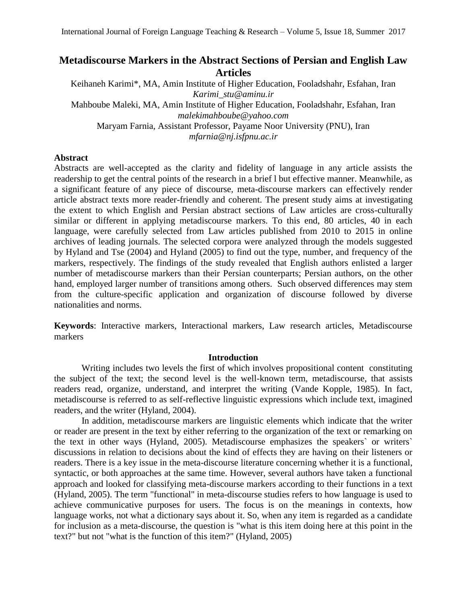# **Metadiscourse Markers in the Abstract Sections of Persian and English Law Articles**

Keihaneh Karimi\*, MA, Amin Institute of Higher Education, Fooladshahr, Esfahan, Iran *[Karimi\\_stu@aminu.ir](mailto:Karimi_stu@aminu.ir)* Mahboube Maleki, MA, Amin Institute of Higher Education, Fooladshahr, Esfahan, Iran *[malekimahboube@yahoo.com](mailto:malekimahboube@yahoo.com)* Maryam Farnia, Assistant Professor, Payame Noor University (PNU), Iran *[mfarnia@nj.isfpnu.ac.ir](mailto:mfarnia@nj.isfpnu.ac.ir)*

# **Abstract**

Abstracts are well-accepted as the clarity and fidelity of language in any article assists the readership to get the central points of the research in a brief l but effective manner. Meanwhile, as a significant feature of any piece of discourse, meta-discourse markers can effectively render article abstract texts more reader-friendly and coherent. The present study aims at investigating the extent to which English and Persian abstract sections of Law articles are cross-culturally similar or different in applying metadiscourse markers. To this end, 80 articles, 40 in each language, were carefully selected from Law articles published from 2010 to 2015 in online archives of leading journals. The selected corpora were analyzed through the models suggested by Hyland and Tse (2004) and Hyland (2005) to find out the type, number, and frequency of the markers, respectively. The findings of the study revealed that English authors enlisted a larger number of metadiscourse markers than their Persian counterparts; Persian authors, on the other hand, employed larger number of transitions among others. Such observed differences may stem from the culture-specific application and organization of discourse followed by diverse nationalities and norms.

**Keywords**: Interactive markers, Interactional markers, Law research articles, Metadiscourse markers

# **Introduction**

Writing includes two levels the first of which involves propositional content constituting the subject of the text; the second level is the well-known term, metadiscourse, that assists readers read, organize, understand, and interpret the writing (Vande Kopple, 1985). In fact, metadiscourse is referred to as self-reflective linguistic expressions which include text, imagined readers, and the writer (Hyland, 2004).

 In addition, metadiscourse markers are linguistic elements which indicate that the writer or reader are present in the text by either referring to the organization of the text or remarking on the text in other ways (Hyland, 2005). Metadiscourse emphasizes the speakers` or writers` discussions in relation to decisions about the kind of effects they are having on their listeners or readers. There is a key issue in the meta-discourse literature concerning whether it is a functional, syntactic, or both approaches at the same time. However, several authors have taken a functional approach and looked for classifying meta-discourse markers according to their functions in a text (Hyland, 2005). The term "functional" in meta-discourse studies refers to how language is used to achieve communicative purposes for users. The focus is on the meanings in contexts, how language works, not what a dictionary says about it. So, when any item is regarded as a candidate for inclusion as a meta-discourse, the question is "what is this item doing here at this point in the text?" but not "what is the function of this item?" (Hyland, 2005)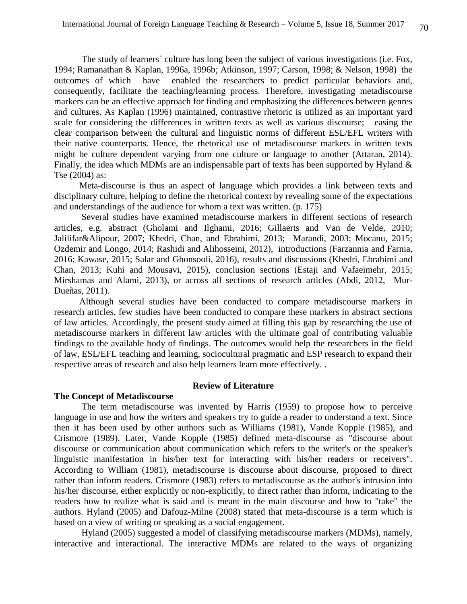The study of learners` culture has long been the subject of various investigations (i.e. Fox, 1994; Ramanathan & Kaplan, 1996a, 1996b; Atkinson, 1997; Carson, 1998; & Nelson, 1998) the outcomes of which have enabled the researchers to predict particular behaviors and, consequently, facilitate the teaching/learning process. Therefore, investigating metadiscourse markers can be an effective approach for finding and emphasizing the differences between genres and cultures. As Kaplan (1996) maintained, contrastive rhetoric is utilized as an important yard scale for considering the differences in written texts as well as various discourse; easing the clear comparison between the cultural and linguistic norms of different ESL/EFL writers with their native counterparts. Hence, the rhetorical use of metadiscourse markers in written texts might be culture dependent varying from one culture or language to another (Attaran, 2014). Finally, the idea which MDMs are an indispensable part of texts has been supported by Hyland  $\&$ Tse (2004) as:

 Meta-discourse is thus an aspect of language which provides a link between texts and disciplinary culture, helping to define the rhetorical context by revealing some of the expectations and understandings of the audience for whom a text was written. (p. 175)

 Several studies have examined metadiscourse markers in different sections of research articles, e.g. abstract (Gholami and Ilghami, 2016; Gillaerts and Van de Velde, 2010; Jalilifar&Alipour, 2007; Khedri, Chan, and Ebrahimi, 2013; Marandi, 2003; Mocanu, 2015; Ozdemir and Longo, 2014; Rashidi and Alihosseini, 2012), introductions (Farzannia and Farnia, 2016; Kawase, 2015; Salar and Ghonsooli, 2016), results and discussions (Khedri, Ebrahimi and Chan, 2013; Kuhi and Mousavi, 2015), conclusion sections (Estaji and Vafaeimehr, 2015; Mirshamas and Alami, 2013), or across all sections of research articles (Abdi, 2012, [Mur-](http://www.sciencedirect.com/science/article/pii/S0378216611001366)[Dueñas,](http://www.sciencedirect.com/science/article/pii/S0378216611001366) 2011).

 Although several studies have been conducted to compare metadiscourse markers in research articles, few studies have been conducted to compare these markers in abstract sections of law articles. Accordingly, the present study aimed at filling this gap by researching the use of metadiscourse markers in different law articles with the ultimate goal of contributing valuable findings to the available body of findings. The outcomes would help the researchers in the field of law, ESL/EFL teaching and learning, sociocultural pragmatic and ESP research to expand their respective areas of research and also help learners learn more effectively. .

# **The Concept of Metadiscourse**

# **Review of Literature**

The term metadiscourse was invented by Harris (1959) to propose how to perceive language in use and how the writers and speakers try to guide a reader to understand a text. Since then it has been used by other authors such as Williams (1981), Vande Kopple (1985), and Crismore (1989). Later, Vande Kopple (1985) defined meta-discourse as "discourse about discourse or communication about communication which refers to the writer's or the speaker's linguistic manifestation in his/her text for interacting with his/her readers or receivers". According to William (1981), metadiscourse is discourse about discourse, proposed to direct rather than inform readers. Crismore (1983) refers to metadiscourse as the author's intrusion into his/her discourse, either explicitly or non-explicitly, to direct rather than inform, indicating to the readers how to realize what is said and is meant in the main discourse and how to "take" the authors. Hyland (2005) and Dafouz-Milne (2008) stated that meta-discourse is a term which is based on a view of writing or speaking as a social engagement.

Hyland (2005) suggested a model of classifying metadiscourse markers (MDMs), namely, interactive and interactional. The interactive MDMs are related to the ways of organizing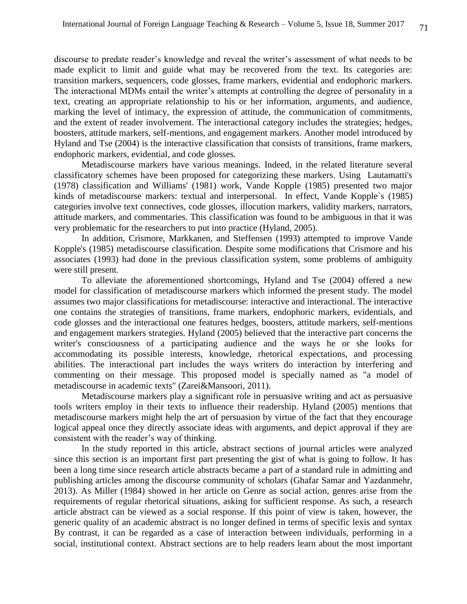discourse to predate reader's knowledge and reveal the writer's assessment of what needs to be made explicit to limit and guide what may be recovered from the text. Its categories are: transition markers, sequencers, code glosses, frame markers, evidential and endophoric markers. The interactional MDMs entail the writer's attempts at controlling the degree of personality in a text, creating an appropriate relationship to his or her information, arguments, and audience, marking the level of intimacy, the expression of attitude, the communication of commitments, and the extent of reader involvement. The interactional category includes the strategies; hedges, boosters, attitude markers, self-mentions, and engagement markers. Another model introduced by Hyland and Tse (2004) is the interactive classification that consists of transitions, frame markers, endophoric markers, evidential, and code glosses.

Metadiscourse markers have various meanings. Indeed, in the related literature several classificatory schemes have been proposed for categorizing these markers. Using Lautamatti's (1978) classification and Williams' (1981) work, Vande Kopple (1985) presented two major kinds of metadiscourse markers: textual and interpersonal. In effect, Vande Kopple`s (1985) categories involve text connectives, code glosses, illocution markers, validity markers, narrators, attitude markers, and commentaries. This classification was found to be ambiguous in that it was very problematic for the researchers to put into practice (Hyland, 2005).

In addition, Crismore, Markkanen, and Steffensen (1993) attempted to improve Vande Kopple's (1985) metadiscourse classification. Despite some modifications that Crismore and his associates (1993) had done in the previous classification system, some problems of ambiguity were still present.

To alleviate the aforementioned shortcomings, Hyland and Tse (2004) offered a new model for classification of metadiscourse markers which informed the present study. The model assumes two major classifications for metadiscourse: interactive and interactional. The interactive one contains the strategies of transitions, frame markers, endophoric markers, evidentials, and code glosses and the interactional one features hedges, boosters, attitude markers, self-mentions and engagement markers strategies. Hyland (2005) believed that the interactive part concerns the writer's consciousness of a participating audience and the ways he or she looks for accommodating its possible interests, knowledge, rhetorical expectations, and processing abilities. The interactional part includes the ways writers do interaction by interfering and commenting on their message. This proposed model is specially named as "a model of metadiscourse in academic texts" (Zarei&Mansoori, 2011).

Metadiscourse markers play a significant role in persuasive writing and act as persuasive tools writers employ in their texts to influence their readership. Hyland (2005) mentions that metadiscourse markers might help the art of persuasion by virtue of the fact that they encourage logical appeal once they directly associate ideas with arguments, and depict approval if they are consistent with the reader's way of thinking.

In the study reported in this article, abstract sections of journal articles were analyzed since this section is an important first part presenting the gist of what is going to follow. It has been a long time since research article abstracts became a part of a standard rule in admitting and publishing articles among the discourse community of scholars (Ghafar Samar and Yazdanmehr, 2013). As Miller (1984) showed in her article on Genre as social action, genres arise from the requirements of regular rhetorical situations, asking for sufficient response. As such, a research article abstract can be viewed as a social response. If this point of view is taken, however, the generic quality of an academic abstract is no longer defined in terms of specific lexis and syntax By contrast, it can be regarded as a case of interaction between individuals, performing in a social, institutional context. Abstract sections are to help readers learn about the most important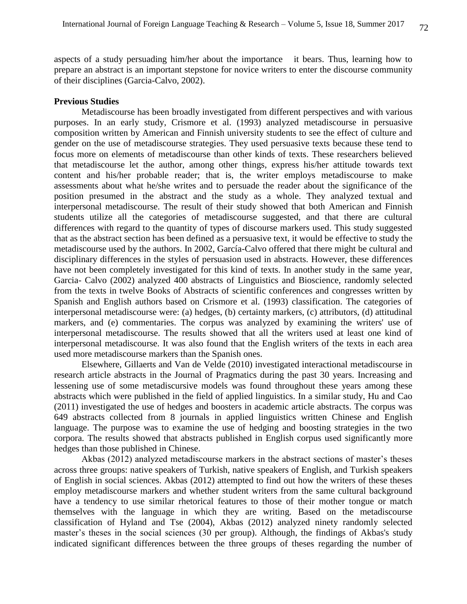aspects of a study persuading him/her about the importance it bears. Thus, learning how to prepare an abstract is an important stepstone for novice writers to enter the discourse community of their disciplines (Garcia-Calvo, 2002).

### **Previous Studies**

Metadiscourse has been broadly investigated from different perspectives and with various purposes. In an early study, Crismore et al. (1993) analyzed metadiscourse in persuasive composition written by American and Finnish university students to see the effect of culture and gender on the use of metadiscourse strategies. They used persuasive texts because these tend to focus more on elements of metadiscourse than other kinds of texts. These researchers believed that metadiscourse let the author, among other things, express his/her attitude towards text content and his/her probable reader; that is, the writer employs metadiscourse to make assessments about what he/she writes and to persuade the reader about the significance of the position presumed in the abstract and the study as a whole. They analyzed textual and interpersonal metadiscourse. The result of their study showed that both American and Finnish students utilize all the categories of metadiscourse suggested, and that there are cultural differences with regard to the quantity of types of discourse markers used. This study suggested that as the abstract section has been defined as a persuasive text, it would be effective to study the metadiscourse used by the authors. In 2002, García-Calvo offered that there might be cultural and disciplinary differences in the styles of persuasion used in abstracts. However, these differences have not been completely investigated for this kind of texts. In another study in the same year, Garcia- Calvo (2002) analyzed 400 abstracts of Linguistics and Bioscience, randomly selected from the texts in twelve Books of Abstracts of scientific conferences and congresses written by Spanish and English authors based on Crismore et al. (1993) classification. The categories of interpersonal metadiscourse were: (a) hedges, (b) certainty markers, (c) attributors, (d) attitudinal markers, and (e) commentaries. The corpus was analyzed by examining the writers' use of interpersonal metadiscourse. The results showed that all the writers used at least one kind of interpersonal metadiscourse. It was also found that the English writers of the texts in each area used more metadiscourse markers than the Spanish ones.

Elsewhere, Gillaerts and Van de Velde (2010) investigated interactional metadiscourse in research article abstracts in the Journal of Pragmatics during the past 30 years. Increasing and lessening use of some metadiscursive models was found throughout these years among these abstracts which were published in the field of applied linguistics. In a similar study, Hu and Cao (2011) investigated the use of hedges and boosters in academic article abstracts. The corpus was 649 abstracts collected from 8 journals in applied linguistics written Chinese and English language. The purpose was to examine the use of hedging and boosting strategies in the two corpora. The results showed that abstracts published in English corpus used significantly more hedges than those published in Chinese.

Akbas (2012) analyzed metadiscourse markers in the abstract sections of master's theses across three groups: native speakers of Turkish, native speakers of English, and Turkish speakers of English in social sciences. Akbas (2012) attempted to find out how the writers of these theses employ metadiscourse markers and whether student writers from the same cultural background have a tendency to use similar rhetorical features to those of their mother tongue or match themselves with the language in which they are writing. Based on the metadiscourse classification of Hyland and Tse (2004), Akbas (2012) analyzed ninety randomly selected master's theses in the social sciences (30 per group). Although, the findings of Akbas's study indicated significant differences between the three groups of theses regarding the number of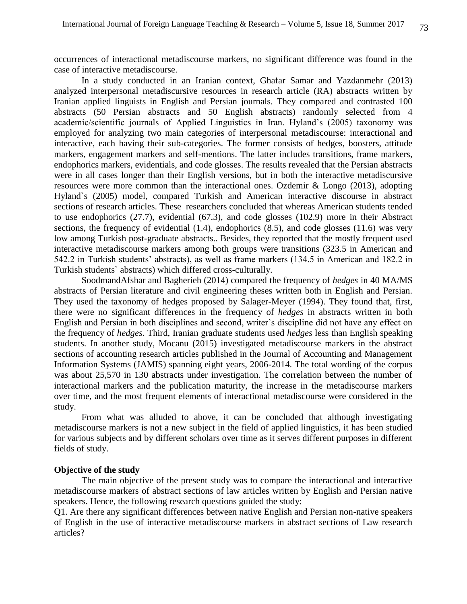occurrences of interactional metadiscourse markers, no significant difference was found in the case of interactive metadiscourse.

In a study conducted in an Iranian context, Ghafar Samar and Yazdanmehr (2013) analyzed interpersonal metadiscursive resources in research article (RA) abstracts written by Iranian applied linguists in English and Persian journals. They compared and contrasted 100 abstracts (50 Persian abstracts and 50 English abstracts) randomly selected from 4 academic/scientific journals of Applied Linguistics in Iran. Hyland's (2005) taxonomy was employed for analyzing two main categories of interpersonal metadiscourse: interactional and interactive, each having their sub-categories. The former consists of hedges, boosters, attitude markers, engagement markers and self-mentions. The latter includes transitions, frame markers, endophorics markers, evidentials, and code glosses. The results revealed that the Persian abstracts were in all cases longer than their English versions, but in both the interactive metadiscursive resources were more common than the interactional ones. Ozdemir & Longo (2013), adopting Hyland`s (2005) model, compared Turkish and American interactive discourse in abstract sections of research articles. These researchers concluded that whereas American students tended to use endophorics (27.7), evidential (67.3), and code glosses (102.9) more in their Abstract sections, the frequency of evidential (1.4), endophorics (8.5), and code glosses (11.6) was very low among Turkish post-graduate abstracts.. Besides, they reported that the mostly frequent used interactive metadiscourse markers among both groups were transitions (323.5 in American and 542.2 in Turkish students' abstracts), as well as frame markers (134.5 in American and 182.2 in Turkish students` abstracts) which differed cross-culturally.

SoodmandAfshar and Bagherieh (2014) compared the frequency of *hedges* in 40 MA/MS abstracts of Persian literature and civil engineering theses written both in English and Persian. They used the taxonomy of hedges proposed by Salager-Meyer (1994). They found that, first, there were no significant differences in the frequency of *hedges* in abstracts written in both English and Persian in both disciplines and second, writer's discipline did not have any effect on the frequency of *hedges*. Third, Iranian graduate students used *hedges* less than English speaking students. In another study, Mocanu (2015) investigated metadiscourse markers in the abstract sections of accounting research articles published in the Journal of Accounting and Management Information Systems (JAMIS) spanning eight years, 2006-2014. The total wording of the corpus was about 25,570 in 130 abstracts under investigation. The correlation between the number of interactional markers and the publication maturity, the increase in the metadiscourse markers over time, and the most frequent elements of interactional metadiscourse were considered in the study.

From what was alluded to above, it can be concluded that although investigating metadiscourse markers is not a new subject in the field of applied linguistics, it has been studied for various subjects and by different scholars over time as it serves different purposes in different fields of study.

# **Objective of the study**

The main objective of the present study was to compare the interactional and interactive metadiscourse markers of abstract sections of law articles written by English and Persian native speakers. Hence, the following research questions guided the study:

Q1. Are there any significant differences between native English and Persian non-native speakers of English in the use of interactive metadiscourse markers in abstract sections of Law research articles?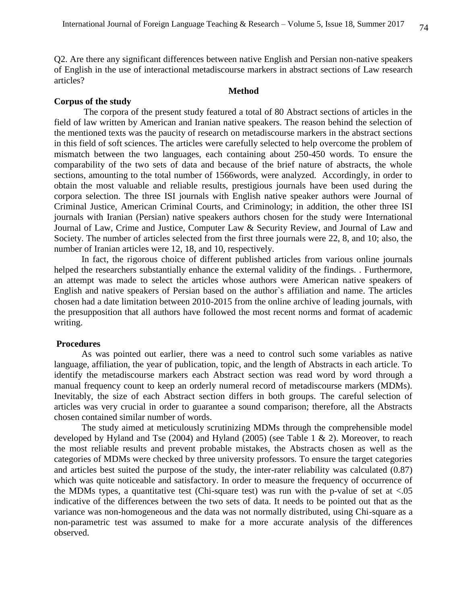Q2. Are there any significant differences between native English and Persian non-native speakers of English in the use of interactional metadiscourse markers in abstract sections of Law research articles?

#### **Method**

## **Corpus of the study**

 The corpora of the present study featured a total of 80 Abstract sections of articles in the field of law written by American and Iranian native speakers. The reason behind the selection of the mentioned texts was the paucity of research on metadiscourse markers in the abstract sections in this field of soft sciences. The articles were carefully selected to help overcome the problem of mismatch between the two languages, each containing about 250-450 words. To ensure the comparability of the two sets of data and because of the brief nature of abstracts, the whole sections, amounting to the total number of 1566words, were analyzed. Accordingly, in order to obtain the most valuable and reliable results, prestigious journals have been used during the corpora selection. The three ISI journals with English native speaker authors were [Journal of](http://www.sciencedirect.com/science/journal/00472352)  [Criminal Justice,](http://www.sciencedirect.com/science/journal/00472352) [American Criminal Courts,](http://www.sciencedirect.com/science/book/9781455725991) and [Criminology;](http://www.sciencedirect.com/science/book/9781455730100) in addition, the other three ISI journals with Iranian (Persian) native speakers authors chosen for the study were [International](http://www.sciencedirect.com/science/journal/17560616)  [Journal of Law, Crime and Justice,](http://www.sciencedirect.com/science/journal/17560616) [Computer Law & Security Review,](http://www.sciencedirect.com/science/journal/02673649) and Journal of Law and Society. The number of articles selected from the first three journals were 22, 8, and 10; also, the number of Iranian articles were 12, 18, and 10, respectively.

In fact, the rigorous choice of different published articles from various online journals helped the researchers substantially enhance the external validity of the findings. . Furthermore, an attempt was made to select the articles whose authors were American native speakers of English and native speakers of Persian based on the author`s affiliation and name. The articles chosen had a date limitation between 2010-2015 from the online archive of leading journals, with the presupposition that all authors have followed the most recent norms and format of academic writing.

## **Procedures**

As was pointed out earlier, there was a need to control such some variables as native language, affiliation, the year of publication, topic, and the length of Abstracts in each article. To identify the metadiscourse markers each Abstract section was read word by word through a manual frequency count to keep an orderly numeral record of metadiscourse markers (MDMs). Inevitably, the size of each Abstract section differs in both groups. The careful selection of articles was very crucial in order to guarantee a sound comparison; therefore, all the Abstracts chosen contained similar number of words.

The study aimed at meticulously scrutinizing MDMs through the comprehensible model developed by Hyland and Tse (2004) and Hyland (2005) (see Table 1 & 2). Moreover, to reach the most reliable results and prevent probable mistakes, the Abstracts chosen as well as the categories of MDMs were checked by three university professors. To ensure the target categories and articles best suited the purpose of the study, the inter-rater reliability was calculated (0.87) which was quite noticeable and satisfactory. In order to measure the frequency of occurrence of the MDMs types, a quantitative test (Chi-square test) was run with the p-value of set at  $\langle .05 \rangle$ indicative of the differences between the two sets of data. It needs to be pointed out that as the variance was non-homogeneous and the data was not normally distributed, using Chi-square as a non-parametric test was assumed to make for a more accurate analysis of the differences observed.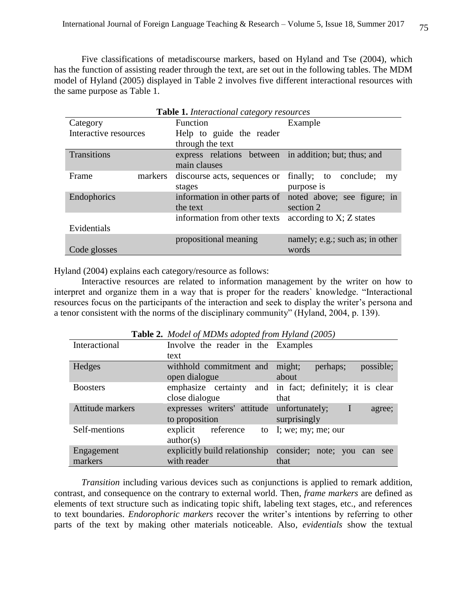Five classifications of metadiscourse markers, based on Hyland and Tse (2004), which has the function of assisting reader through the text, are set out in the following tables. The MDM model of Hyland (2005) displayed in Table 2 involves five different interactional resources with the same purpose as Table 1.

| <b>Table 1.</b> Interactional category resources |         |                                                       |                                 |  |  |
|--------------------------------------------------|---------|-------------------------------------------------------|---------------------------------|--|--|
| Category                                         |         | Function                                              | Example                         |  |  |
| Interactive resources                            |         | Help to guide the reader                              |                                 |  |  |
|                                                  |         | through the text                                      |                                 |  |  |
| <b>Transitions</b>                               |         | express relations between in addition; but; thus; and |                                 |  |  |
|                                                  |         | main clauses                                          |                                 |  |  |
| Frame                                            | markers | discourse acts, sequences or                          | finally; to<br>conclude;<br>my  |  |  |
|                                                  |         | stages                                                | purpose is                      |  |  |
| Endophorics                                      |         | information in other parts of                         | noted above; see figure; in     |  |  |
|                                                  |         | the text                                              | section 2                       |  |  |
|                                                  |         | information from other texts                          | according to X; Z states        |  |  |
| Evidentials                                      |         |                                                       |                                 |  |  |
|                                                  |         | propositional meaning                                 | namely; e.g.; such as; in other |  |  |
| Code glosses                                     |         |                                                       | words                           |  |  |

Hyland (2004) explains each category/resource as follows:

Interactive resources are related to information management by the writer on how to interpret and organize them in a way that is proper for the readers` knowledge. "Interactional resources focus on the participants of the interaction and seek to display the writer's persona and a tenor consistent with the norms of the disciplinary community" (Hyland, 2004, p. 139).

| <b>Lable 2.</b> Model of MDMs daopted from Hyland (2005) |                                              |                                                           |  |
|----------------------------------------------------------|----------------------------------------------|-----------------------------------------------------------|--|
| Interactional                                            | Involve the reader in the Examples           |                                                           |  |
|                                                          | text                                         |                                                           |  |
| Hedges                                                   | withhold commitment and might;               | possible;<br>perhaps;                                     |  |
|                                                          | open dialogue                                | about                                                     |  |
| <b>Boosters</b>                                          |                                              | emphasize certainty and in fact; definitely; it is clear  |  |
|                                                          | close dialogue                               | that                                                      |  |
| Attitude markers                                         | expresses writers' attitude unfortunately; I | agree;                                                    |  |
|                                                          | to proposition                               | surprisingly                                              |  |
| Self-mentions                                            | explicit reference to I; we; my; me; our     |                                                           |  |
|                                                          | $\text{author}(s)$                           |                                                           |  |
| Engagement                                               |                                              | explicitly build relationship consider; note; you can see |  |
| markers                                                  | with reader                                  | that                                                      |  |

**Table 2.** *Model of MDMs adopted from Hyland (2005)*

*Transition* including various devices such as conjunctions is applied to remark addition, contrast, and consequence on the contrary to external world. Then, *frame markers* are defined as elements of text structure such as indicating topic shift, labeling text stages, etc., and references to text boundaries. *Endorophoric markers* recover the writer's intentions by referring to other parts of the text by making other materials noticeable. Also, *evidentials* show the textual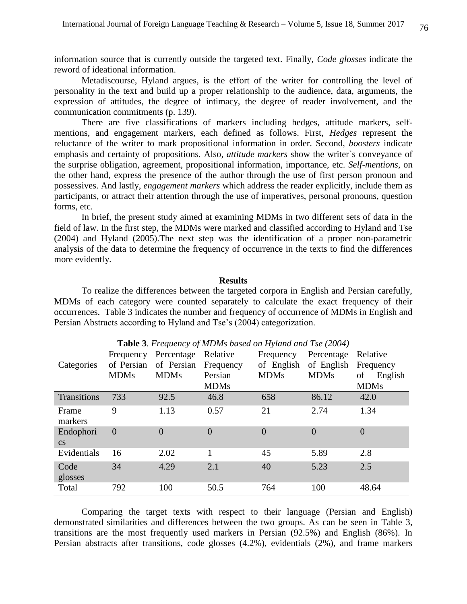information source that is currently outside the targeted text. Finally, *Code glosses* indicate the reword of ideational information.

Metadiscourse, Hyland argues, is the effort of the writer for controlling the level of personality in the text and build up a proper relationship to the audience, data, arguments, the expression of attitudes, the degree of intimacy, the degree of reader involvement, and the communication commitments (p. 139).

There are five classifications of markers including hedges, attitude markers, selfmentions, and engagement markers, each defined as follows. First, *Hedges* represent the reluctance of the writer to mark propositional information in order. Second, *boosters* indicate emphasis and certainty of propositions. Also, *attitude markers* show the writer`s conveyance of the surprise obligation, agreement, propositional information, importance, etc. *Self-mentions*, on the other hand, express the presence of the author through the use of first person pronoun and possessives. And lastly, *engagement markers* which address the reader explicitly, include them as participants, or attract their attention through the use of imperatives, personal pronouns, question forms, etc.

In brief, the present study aimed at examining MDMs in two different sets of data in the field of law. In the first step, the MDMs were marked and classified according to Hyland and Tse (2004) and Hyland (2005).The next step was the identification of a proper non-parametric analysis of the data to determine the frequency of occurrence in the texts to find the differences more evidently.

### **Results**

To realize the differences between the targeted corpora in English and Persian carefully, MDMs of each category were counted separately to calculate the exact frequency of their occurrences. Table 3 indicates the number and frequency of occurrence of MDMs in English and Persian Abstracts according to Hyland and Tse's (2004) categorization.

|                                     | Frequency      | Percentage     | Relative       | Frequency      | Percentage     | Relative       |
|-------------------------------------|----------------|----------------|----------------|----------------|----------------|----------------|
| Categories                          | of Persian     | of Persian     | Frequency      | of English     | of English     | Frequency      |
|                                     | <b>MDMs</b>    | <b>MDMs</b>    | Persian        | <b>MDMs</b>    | <b>MDMs</b>    | English<br>of  |
|                                     |                |                | <b>MDMs</b>    |                |                | <b>MDMs</b>    |
| <b>Transitions</b>                  | 733            | 92.5           | 46.8           | 658            | 86.12          | 42.0           |
| Frame<br>markers                    | 9              | 1.13           | 0.57           | 21             | 2.74           | 1.34           |
| Endophori<br>$\mathbf{c}\mathbf{s}$ | $\overline{0}$ | $\overline{0}$ | $\overline{0}$ | $\overline{0}$ | $\overline{0}$ | $\overline{0}$ |
| Evidentials                         | 16             | 2.02           | 1              | 45             | 5.89           | 2.8            |
| Code<br>glosses                     | 34             | 4.29           | 2.1            | 40             | 5.23           | 2.5            |
| Total                               | 792            | 100            | 50.5           | 764            | 100            | 48.64          |

**Table 3**. *Frequency of MDMs based on Hyland and Tse (2004)*

Comparing the target texts with respect to their language (Persian and English) demonstrated similarities and differences between the two groups. As can be seen in Table 3, transitions are the most frequently used markers in Persian (92.5%) and English (86%). In Persian abstracts after transitions, code glosses (4.2%), evidentials (2%), and frame markers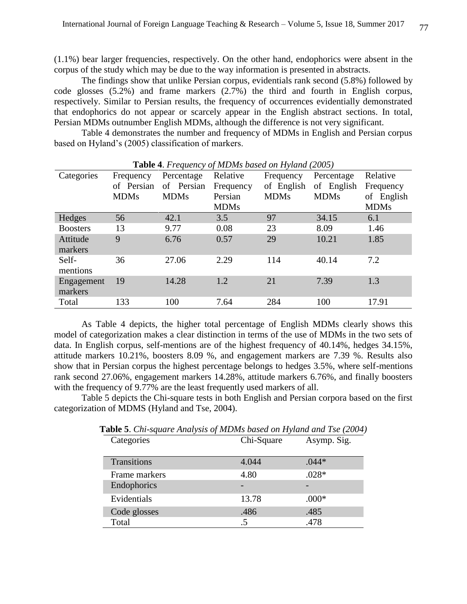(1.1%) bear larger frequencies, respectively. On the other hand, endophorics were absent in the corpus of the study which may be due to the way information is presented in abstracts.

The findings show that unlike Persian corpus, evidentials rank second (5.8%) followed by code glosses (5.2%) and frame markers (2.7%) the third and fourth in English corpus, respectively. Similar to Persian results, the frequency of occurrences evidentially demonstrated that endophorics do not appear or scarcely appear in the English abstract sections. In total, Persian MDMs outnumber English MDMs, although the difference is not very significant.

Table 4 demonstrates the number and frequency of MDMs in English and Persian corpus based on Hyland's (2005) classification of markers.

| Categories      | Frequency   | Percentage  | Relative    | Frequency   | Percentage  | Relative    |
|-----------------|-------------|-------------|-------------|-------------|-------------|-------------|
|                 | of Persian  | of Persian  | Frequency   | of English  | of English  | Frequency   |
|                 | <b>MDMs</b> | <b>MDMs</b> | Persian     | <b>MDMs</b> | <b>MDMs</b> | of English  |
|                 |             |             | <b>MDMs</b> |             |             | <b>MDMs</b> |
| Hedges          | 56          | 42.1        | 3.5         | 97          | 34.15       | 6.1         |
| <b>Boosters</b> | 13          | 9.77        | 0.08        | 23          | 8.09        | 1.46        |
| Attitude        | 9           | 6.76        | 0.57        | 29          | 10.21       | 1.85        |
| markers         |             |             |             |             |             |             |
| Self-           | 36          | 27.06       | 2.29        | 114         | 40.14       | 7.2         |
| mentions        |             |             |             |             |             |             |
| Engagement      | 19          | 14.28       | 1.2         | 21          | 7.39        | 1.3         |
| markers         |             |             |             |             |             |             |
| Total           | 133         | 100         | 7.64        | 284         | 100         | 17.91       |

**Table 4**. *Frequency of MDMs based on Hyland (2005)*

As Table 4 depicts, the higher total percentage of English MDMs clearly shows this model of categorization makes a clear distinction in terms of the use of MDMs in the two sets of data. In English corpus, self-mentions are of the highest frequency of 40.14%, hedges 34.15%, attitude markers 10.21%, boosters 8.09 %, and engagement markers are 7.39 %. Results also show that in Persian corpus the highest percentage belongs to hedges 3.5%, where self-mentions rank second 27.06%, engagement markers 14.28%, attitude markers 6.76%, and finally boosters with the frequency of 9.77% are the least frequently used markers of all.

Table 5 depicts the Chi-square tests in both English and Persian corpora based on the first categorization of MDMS (Hyland and Tse, 2004).

| Categories         | Chi-Square | Asymp. Sig. |
|--------------------|------------|-------------|
| <b>Transitions</b> | 4.044      | $.044*$     |
| Frame markers      | 4.80       | $.028*$     |
| Endophorics        |            |             |
| Evidentials        | 13.78      | $.000*$     |
| Code glosses       | .486       | .485        |
| Total              | $.5\,$     | .478        |

**Table 5**. *Chi-square Analysis of MDMs based on Hyland and Tse (2004)* Categories Chi-Square Asymp. Sig.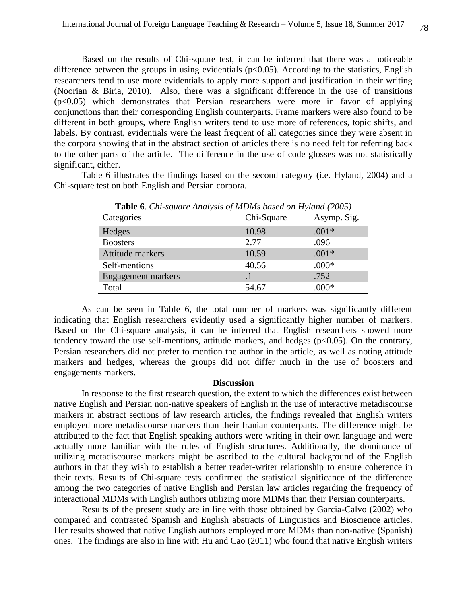Based on the results of Chi-square test, it can be inferred that there was a noticeable difference between the groups in using evidentials  $(p<0.05)$ . According to the statistics, English researchers tend to use more evidentials to apply more support and justification in their writing (Noorian & Biria, 2010). Also, there was a significant difference in the use of transitions (p<0.05) which demonstrates that Persian researchers were more in favor of applying conjunctions than their corresponding English counterparts. Frame markers were also found to be different in both groups, where English writers tend to use more of references, topic shifts, and labels. By contrast, evidentials were the least frequent of all categories since they were absent in the corpora showing that in the abstract section of articles there is no need felt for referring back to the other parts of the article. The difference in the use of code glosses was not statistically significant, either.

Table 6 illustrates the findings based on the second category (i.e. Hyland, 2004) and a Chi-square test on both English and Persian corpora.

| Table 6. Chi-square Analysis of MDMs based on Hyland (2005) |            |             |  |  |
|-------------------------------------------------------------|------------|-------------|--|--|
| Categories                                                  | Chi-Square | Asymp. Sig. |  |  |
| Hedges                                                      | 10.98      | $.001*$     |  |  |
| <b>Boosters</b>                                             | 2.77       | .096        |  |  |
| Attitude markers                                            | 10.59      | $.001*$     |  |  |
| Self-mentions                                               | 40.56      | $.000*$     |  |  |
| <b>Engagement markers</b>                                   |            | .752        |  |  |
| Total                                                       | 54.67      | $.000*$     |  |  |

As can be seen in Table 6, the total number of markers was significantly different indicating that English researchers evidently used a significantly higher number of markers. Based on the Chi-square analysis, it can be inferred that English researchers showed more tendency toward the use self-mentions, attitude markers, and hedges ( $p<0.05$ ). On the contrary, Persian researchers did not prefer to mention the author in the article, as well as noting attitude markers and hedges, whereas the groups did not differ much in the use of boosters and engagements markers.

### **Discussion**

In response to the first research question, the extent to which the differences exist between native English and Persian non-native speakers of English in the use of interactive metadiscourse markers in abstract sections of law research articles, the findings revealed that English writers employed more metadiscourse markers than their Iranian counterparts. The difference might be attributed to the fact that English speaking authors were writing in their own language and were actually more familiar with the rules of English structures. Additionally, the dominance of utilizing metadiscourse markers might be ascribed to the cultural background of the English authors in that they wish to establish a better reader-writer relationship to ensure coherence in their texts. Results of Chi-square tests confirmed the statistical significance of the difference among the two categories of native English and Persian law articles regarding the frequency of interactional MDMs with English authors utilizing more MDMs than their Persian counterparts.

Results of the present study are in line with those obtained by Garcia-Calvo (2002) who compared and contrasted Spanish and English abstracts of Linguistics and Bioscience articles. Her results showed that native English authors employed more MDMs than non-native (Spanish) ones. The findings are also in line with Hu and Cao (2011) who found that native English writers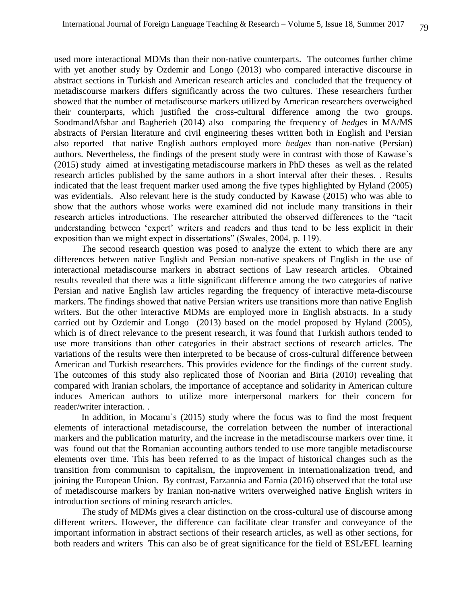used more interactional MDMs than their non-native counterparts. The outcomes further chime with yet another study by Ozdemir and Longo (2013) who compared interactive discourse in abstract sections in Turkish and American research articles and concluded that the frequency of metadiscourse markers differs significantly across the two cultures. These researchers further showed that the number of metadiscourse markers utilized by American researchers overweighed their counterparts, which justified the cross-cultural difference among the two groups. SoodmandAfshar and Bagherieh (2014) also comparing the frequency of *hedges* in MA/MS abstracts of Persian literature and civil engineering theses written both in English and Persian also reported that native English authors employed more *hedges* than non-native (Persian) authors. Nevertheless, the findings of the present study were in contrast with those of Kawase`s (2015) study aimed at investigating metadiscourse markers in PhD theses as well as the related research articles published by the same authors in a short interval after their theses. . Results indicated that the least frequent marker used among the five types highlighted by Hyland (2005) was evidentials. Also relevant here is the study conducted by Kawase (2015) who was able to show that the authors whose works were examined did not include many transitions in their research articles introductions. The researcher attributed the observed differences to the "tacit understanding between 'expert' writers and readers and thus tend to be less explicit in their exposition than we might expect in dissertations" (Swales, 2004, p. 119).

The second research question was posed to analyze the extent to which there are any differences between native English and Persian non-native speakers of English in the use of interactional metadiscourse markers in abstract sections of Law research articles. Obtained results revealed that there was a little significant difference among the two categories of native Persian and native English law articles regarding the frequency of interactive meta-discourse markers. The findings showed that native Persian writers use transitions more than native English writers. But the other interactive MDMs are employed more in English abstracts. In a study carried out by Ozdemir and Longo (2013) based on the model proposed by Hyland (2005), which is of direct relevance to the present research, it was found that Turkish authors tended to use more transitions than other categories in their abstract sections of research articles. The variations of the results were then interpreted to be because of cross-cultural difference between American and Turkish researchers. This provides evidence for the findings of the current study. The outcomes of this study also replicated those of Noorian and Biria (2010) revealing that compared with Iranian scholars, the importance of acceptance and solidarity in American culture induces American authors to utilize more interpersonal markers for their concern for reader/writer interaction. .

In addition, in Mocanu`s (2015) study where the focus was to find the most frequent elements of interactional metadiscourse, the correlation between the number of interactional markers and the publication maturity, and the increase in the metadiscourse markers over time, it was found out that the Romanian accounting authors tended to use more tangible metadiscourse elements over time. This has been referred to as the impact of historical changes such as the transition from communism to capitalism, the improvement in internationalization trend, and joining the European Union. By contrast, Farzannia and Farnia (2016) observed that the total use of metadiscourse markers by Iranian non-native writers overweighed native English writers in introduction sections of mining research articles.

The study of MDMs gives a clear distinction on the cross-cultural use of discourse among different writers. However, the difference can facilitate clear transfer and conveyance of the important information in abstract sections of their research articles, as well as other sections, for both readers and writers. This can also be of great significance for the field of ESL/EFL learning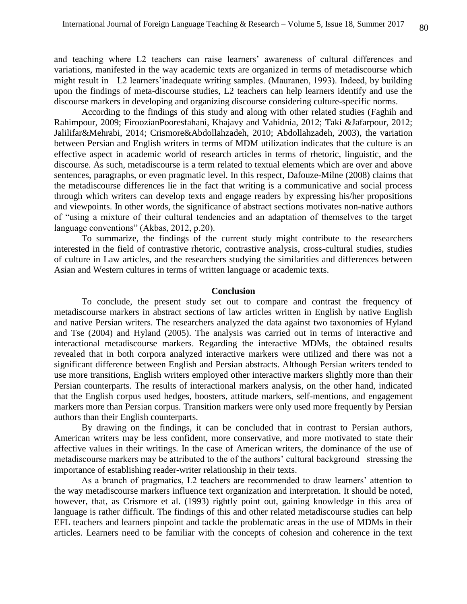and teaching where L2 teachers can raise learners' awareness of cultural differences and variations, manifested in the way academic texts are organized in terms of metadiscourse which might result in L2 learners'inadequate writing samples. (Mauranen, 1993). Indeed, by building upon the findings of meta-discourse studies, L2 teachers can help learners identify and use the discourse markers in developing and organizing discourse considering culture-specific norms.

According to the findings of this study and along with other related studies (Faghih and Rahimpour, 2009; FiroozianPooresfahani, Khajavy and Vahidnia, 2012; Taki &Jafarpour, 2012; Jalilifar&Mehrabi, 2014; Crismore&Abdollahzadeh, 2010; Abdollahzadeh, 2003), the variation between Persian and English writers in terms of MDM utilization indicates that the culture is an effective aspect in academic world of research articles in terms of rhetoric, linguistic, and the discourse. As such, metadiscourse is a term related to textual elements which are over and above sentences, paragraphs, or even pragmatic level. In this respect, Dafouze-Milne (2008) claims that the metadiscourse differences lie in the fact that writing is a communicative and social process through which writers can develop texts and engage readers by expressing his/her propositions and viewpoints. In other words, the significance of abstract sections motivates non-native authors of "using a mixture of their cultural tendencies and an adaptation of themselves to the target language conventions" (Akbas, 2012, p.20).

To summarize, the findings of the current study might contribute to the researchers interested in the field of contrastive rhetoric, contrastive analysis, cross-cultural studies, studies of culture in Law articles, and the researchers studying the similarities and differences between Asian and Western cultures in terms of written language or academic texts.

# **Conclusion**

To conclude, the present study set out to compare and contrast the frequency of metadiscourse markers in abstract sections of law articles written in English by native English and native Persian writers. The researchers analyzed the data against two taxonomies of Hyland and Tse (2004) and Hyland (2005). The analysis was carried out in terms of interactive and interactional metadiscourse markers. Regarding the interactive MDMs, the obtained results revealed that in both corpora analyzed interactive markers were utilized and there was not a significant difference between English and Persian abstracts. Although Persian writers tended to use more transitions, English writers employed other interactive markers slightly more than their Persian counterparts. The results of interactional markers analysis, on the other hand, indicated that the English corpus used hedges, boosters, attitude markers, self-mentions, and engagement markers more than Persian corpus. Transition markers were only used more frequently by Persian authors than their English counterparts.

By drawing on the findings, it can be concluded that in contrast to Persian authors, American writers may be less confident, more conservative, and more motivated to state their affective values in their writings. In the case of American writers, the dominance of the use of metadiscourse markers may be attributed to the of the authors' cultural background stressing the importance of establishing reader-writer relationship in their texts.

As a branch of pragmatics, L2 teachers are recommended to draw learners' attention to the way metadiscourse markers influence text organization and interpretation. It should be noted, however, that, as Crismore et al. (1993) rightly point out, gaining knowledge in this area of language is rather difficult. The findings of this and other related metadiscourse studies can help EFL teachers and learners pinpoint and tackle the problematic areas in the use of MDMs in their articles. Learners need to be familiar with the concepts of cohesion and coherence in the text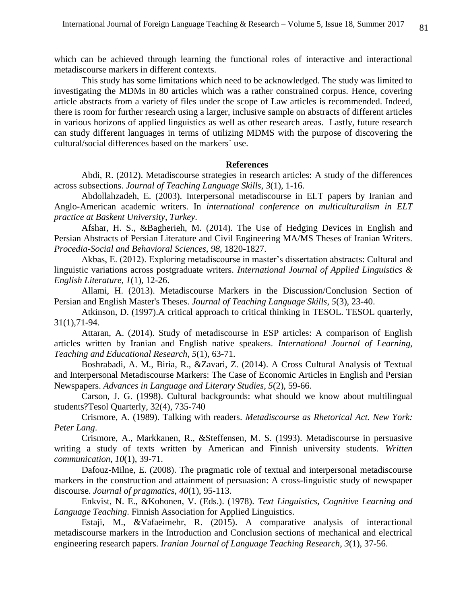which can be achieved through learning the functional roles of interactive and interactional metadiscourse markers in different contexts.

This study has some limitations which need to be acknowledged. The study was limited to investigating the MDMs in 80 articles which was a rather constrained corpus. Hence, covering article abstracts from a variety of files under the scope of Law articles is recommended. Indeed, there is room for further research using a larger, inclusive sample on abstracts of different articles in various horizons of applied linguistics as well as other research areas. Lastly, future research can study different languages in terms of utilizing MDMS with the purpose of discovering the cultural/social differences based on the markers` use.

### **References**

Abdi, R. (2012). Metadiscourse strategies in research articles: A study of the differences across subsections. *Journal of Teaching Language Skills*, *3*(1), 1-16.

Abdollahzadeh, E. (2003). Interpersonal metadiscourse in ELT papers by Iranian and Anglo-American academic writers. In *international conference on multiculturalism in ELT practice at Baskent University, Turkey*.

Afshar, H. S., &Bagherieh, M. (2014). The Use of Hedging Devices in English and Persian Abstracts of Persian Literature and Civil Engineering MA/MS Theses of Iranian Writers. *Procedia-Social and Behavioral Sciences*, *98*, 1820-1827.

Akbas, E. (2012). Exploring metadiscourse in master's dissertation abstracts: Cultural and linguistic variations across postgraduate writers. *International Journal of Applied Linguistics & English Literature*, *1*(1), 12-26.

Allami, H. (2013). Metadiscourse Markers in the Discussion/Conclusion Section of Persian and English Master's Theses. *Journal of Teaching Language Skills*, *5*(3), 23-40.

Atkinson, D. (1997).A critical approach to critical thinking in TESOL. TESOL quarterly, 31(1),71-94.

Attaran, A. (2014). Study of metadiscourse in ESP articles: A comparison of English articles written by Iranian and English native speakers. *International Journal of Learning, Teaching and Educational Research*, *5*(1), 63-71.

Boshrabadi, A. M., Biria, R., &Zavari, Z. (2014). A Cross Cultural Analysis of Textual and Interpersonal Metadiscourse Markers: The Case of Economic Articles in English and Persian Newspapers. *Advances in Language and Literary Studies*, *5*(2), 59-66.

Carson, J. G. (1998). Cultural backgrounds: what should we know about multilingual students?Tesol Quarterly, 32(4), 735-740

Crismore, A. (1989). Talking with readers. *Metadiscourse as Rhetorical Act. New York: Peter Lang*.

Crismore, A., Markkanen, R., &Steffensen, M. S. (1993). Metadiscourse in persuasive writing a study of texts written by American and Finnish university students. *Written communication*, *10*(1), 39-71.

Dafouz-Milne, E. (2008). The pragmatic role of textual and interpersonal metadiscourse markers in the construction and attainment of persuasion: A cross-linguistic study of newspaper discourse. *Journal of pragmatics*, *40*(1), 95-113.

Enkvist, N. E., &Kohonen, V. (Eds.). (1978). *Text Linguistics, Cognitive Learning and Language Teaching*. Finnish Association for Applied Linguistics.

Estaji, M., &Vafaeimehr, R. (2015). A comparative analysis of interactional metadiscourse markers in the Introduction and Conclusion sections of mechanical and electrical engineering research papers. *Iranian Journal of Language Teaching Research*, *3*(1), 37-56.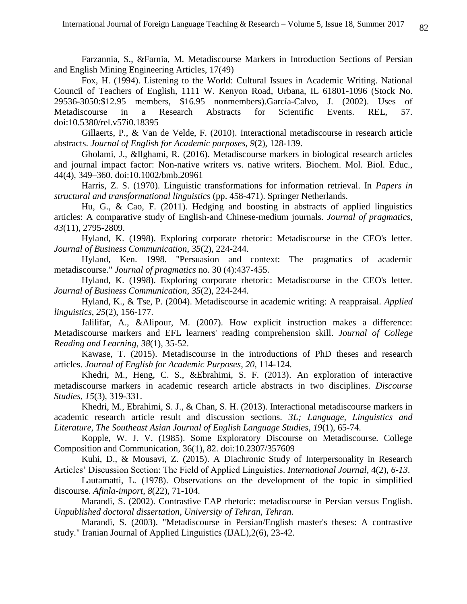Farzannia, S., &Farnia, M. Metadiscourse Markers in Introduction Sections of Persian and English Mining Engineering Articles, 17(49)

Fox, H. (1994). Listening to the World: Cultural Issues in Academic Writing. National Council of Teachers of English, 1111 W. Kenyon Road, Urbana, IL 61801-1096 (Stock No. 29536-3050:\$12.95 members, \$16.95 nonmembers).García-Calvo, J. (2002). Uses of Metadiscourse in a Research Abstracts for Scientific Events. REL, 57. doi:10.5380/rel.v57i0.18395

Gillaerts, P., & Van de Velde, F. (2010). Interactional metadiscourse in research article abstracts. *Journal of English for Academic purposes*, *9*(2), 128-139.

Gholami, J., &Ilghami, R. (2016). Metadiscourse markers in biological research articles and journal impact factor: Non-native writers vs. native writers. Biochem. Mol. Biol. Educ., 44(4), 349–360. doi:10.1002/bmb.20961

Harris, Z. S. (1970). Linguistic transformations for information retrieval. In *Papers in structural and transformational linguistics* (pp. 458-471). Springer Netherlands.

Hu, G., & Cao, F. (2011). Hedging and boosting in abstracts of applied linguistics articles: A comparative study of English-and Chinese-medium journals. *Journal of pragmatics*, *43*(11), 2795-2809.

Hyland, K. (1998). Exploring corporate rhetoric: Metadiscourse in the CEO's letter. *Journal of Business Communication*, *35*(2), 224-244.

Hyland, Ken. 1998. "Persuasion and context: The pragmatics of academic metadiscourse." *Journal of pragmatics* no. 30 (4):437-455.

Hyland, K. (1998). Exploring corporate rhetoric: Metadiscourse in the CEO's letter. *Journal of Business Communication*, *35*(2), 224-244.

Hyland, K., & Tse, P. (2004). Metadiscourse in academic writing: A reappraisal. *Applied linguistics*, *25*(2), 156-177.

Jalilifar, A., &Alipour, M. (2007). How explicit instruction makes a difference: Metadiscourse markers and EFL learners' reading comprehension skill. *Journal of College Reading and Learning*, *38*(1), 35-52.

Kawase, T. (2015). Metadiscourse in the introductions of PhD theses and research articles. *Journal of English for Academic Purposes*, *20*, 114-124.

Khedri, M., Heng, C. S., &Ebrahimi, S. F. (2013). An exploration of interactive metadiscourse markers in academic research article abstracts in two disciplines. *Discourse Studies*, *15*(3), 319-331.

Khedri, M., Ebrahimi, S. J., & Chan, S. H. (2013). Interactional metadiscourse markers in academic research article result and discussion sections. *3L; Language, Linguistics and Literature, The Southeast Asian Journal of English Language Studies*, *19*(1), 65-74.

Kopple, W. J. V. (1985). Some Exploratory Discourse on Metadiscourse. College Composition and Communication, 36(1), 82. doi:10.2307/357609

Kuhi, D., & Mousavi, Z. (2015). A Diachronic Study of Interpersonality in Research Articles' Discussion Section: The Field of Applied Linguistics. *International Journal*, 4(2), *6-13*.

Lautamatti, L. (1978). Observations on the development of the topic in simplified discourse. *Afinla-import*, *8*(22), 71-104.

Marandi, S. (2002). Contrastive EAP rhetoric: metadiscourse in Persian versus English. *Unpublished doctoral dissertation, University of Tehran, Tehran*.

Marandi, S. (2003). "Metadiscourse in Persian/English master's theses: A contrastive study." Iranian Journal of Applied Linguistics (IJAL),2(6), 23-42.